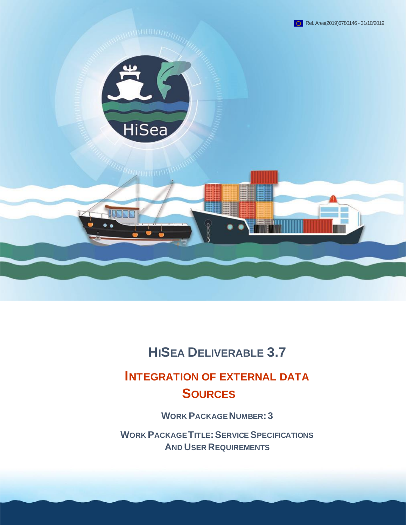

# **HISEA DELIVERABLE 3.7**

# **INTEGRATION OF EXTERNAL DATA SOURCES**

**WORK PACKAGE NUMBER: 3**

**WORK PACKAGE TITLE:SERVICE SPECIFICATIONS AND USER REQUIREMENTS**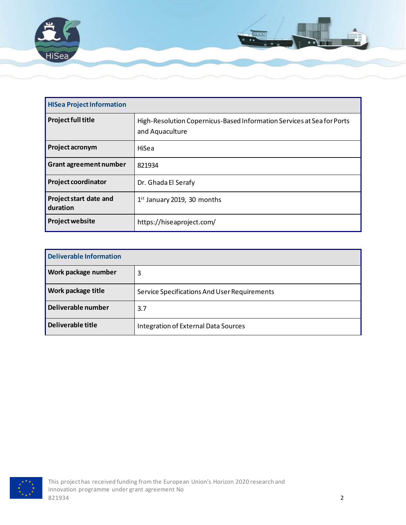

| <b>HISea Project Information</b>          |                                                                                           |  |
|-------------------------------------------|-------------------------------------------------------------------------------------------|--|
| <b>Project full title</b>                 | High-Resolution Copernicus-Based Information Services at Sea for Ports<br>and Aquaculture |  |
| Project acronym                           | HiSea                                                                                     |  |
| <b>Grant agreement number</b>             | 821934                                                                                    |  |
| <b>Project coordinator</b>                | Dr. Ghada El Serafy                                                                       |  |
| <b>Project start date and</b><br>duration | $1st$ January 2019, 30 months                                                             |  |
| <b>Project website</b>                    | https://hiseaproject.com/                                                                 |  |

| <b>Deliverable Information</b> |                                              |  |
|--------------------------------|----------------------------------------------|--|
| <b>Work package number</b>     | 3                                            |  |
| <b>Work package title</b>      | Service Specifications And User Requirements |  |
| Deliverable number             | 3.7                                          |  |
| Deliverable title              | Integration of External Data Sources         |  |

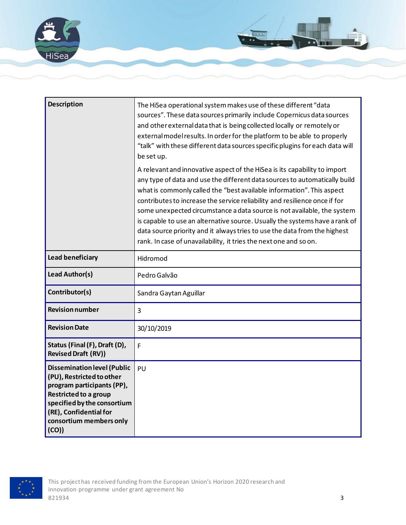

| <b>Description</b>                                                                                                                                                                                                        | The HiSea operational system makes use of these different "data<br>sources". These data sources primarily include Copernicus data sources<br>and other external data that is being collected locally or remotely or<br>external model results. In order for the platform to be able to properly<br>"talk" with these different data sources specific plugins for each data will<br>be set up.                                                                                                                                                                                                                              |
|---------------------------------------------------------------------------------------------------------------------------------------------------------------------------------------------------------------------------|----------------------------------------------------------------------------------------------------------------------------------------------------------------------------------------------------------------------------------------------------------------------------------------------------------------------------------------------------------------------------------------------------------------------------------------------------------------------------------------------------------------------------------------------------------------------------------------------------------------------------|
|                                                                                                                                                                                                                           | A relevant and innovative aspect of the HiSea is its capability to import<br>any type of data and use the different data sources to automatically build<br>what is commonly called the "best available information". This aspect<br>contributes to increase the service reliability and resilience once if for<br>some unexpected circumstance a data source is not available, the system<br>is capable to use an alternative source. Usually the systems have a rank of<br>data source priority and it always tries to use the data from the highest<br>rank. In case of unavailability, it tries the next one and so on. |
| Lead beneficiary                                                                                                                                                                                                          | Hidromod                                                                                                                                                                                                                                                                                                                                                                                                                                                                                                                                                                                                                   |
| Lead Author(s)                                                                                                                                                                                                            | Pedro Galvão                                                                                                                                                                                                                                                                                                                                                                                                                                                                                                                                                                                                               |
| Contributor(s)                                                                                                                                                                                                            | Sandra Gaytan Aguillar                                                                                                                                                                                                                                                                                                                                                                                                                                                                                                                                                                                                     |
| <b>Revision number</b>                                                                                                                                                                                                    | 3                                                                                                                                                                                                                                                                                                                                                                                                                                                                                                                                                                                                                          |
| <b>Revision Date</b>                                                                                                                                                                                                      | 30/10/2019                                                                                                                                                                                                                                                                                                                                                                                                                                                                                                                                                                                                                 |
| Status (Final (F), Draft (D),<br><b>Revised Draft (RV))</b>                                                                                                                                                               | F                                                                                                                                                                                                                                                                                                                                                                                                                                                                                                                                                                                                                          |
| <b>Dissemination level (Public</b><br>(PU), Restricted to other<br>program participants (PP),<br><b>Restricted to a group</b><br>specified by the consortium<br>(RE), Confidential for<br>consortium members only<br>(CO) | PU                                                                                                                                                                                                                                                                                                                                                                                                                                                                                                                                                                                                                         |

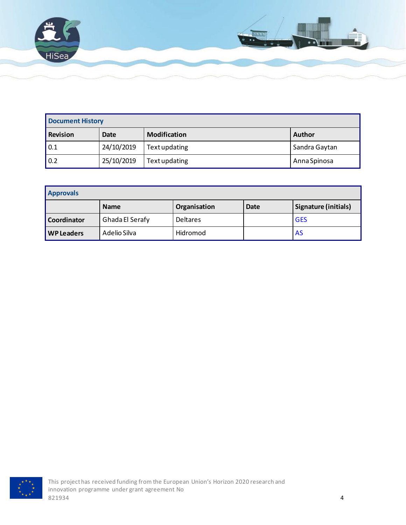

| <b>Document History</b> |            |                     |               |
|-------------------------|------------|---------------------|---------------|
| <b>Revision</b>         | Date       | <b>Modification</b> | <b>Author</b> |
| $\vert 0.1 \vert$       | 24/10/2019 | Text updating       | Sandra Gaytan |
| 0.2                     | 25/10/2019 | Text updating       | Anna Spinosa  |

| <b>Approvals</b>  |                 |                 |             |                      |
|-------------------|-----------------|-----------------|-------------|----------------------|
|                   | <b>Name</b>     | Organisation    | <b>Date</b> | Signature (initials) |
| Coordinator       | Ghada El Serafy | <b>Deltares</b> |             | <b>GES</b>           |
| <b>WP Leaders</b> | Adelio Silva    | Hidromod        |             | AS                   |

![](_page_3_Picture_3.jpeg)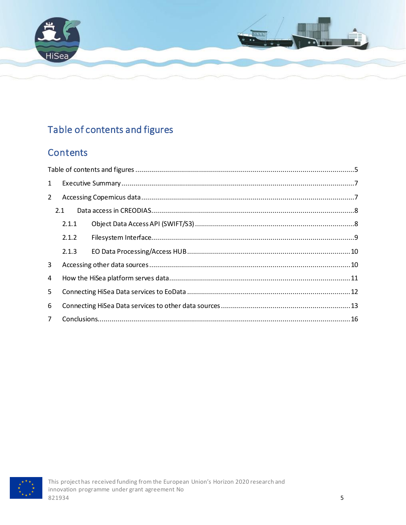![](_page_4_Picture_0.jpeg)

# <span id="page-4-0"></span>Table of contents and figures

## **Contents**

| $\mathbf{1}$ |       |  |  |
|--------------|-------|--|--|
| 2            |       |  |  |
|              | 2.1   |  |  |
|              | 2.1.1 |  |  |
|              | 2.1.2 |  |  |
|              | 2.1.3 |  |  |
| 3            |       |  |  |
| 4            |       |  |  |
| 5            |       |  |  |
| 6            |       |  |  |
| $7^{\circ}$  |       |  |  |

![](_page_4_Picture_4.jpeg)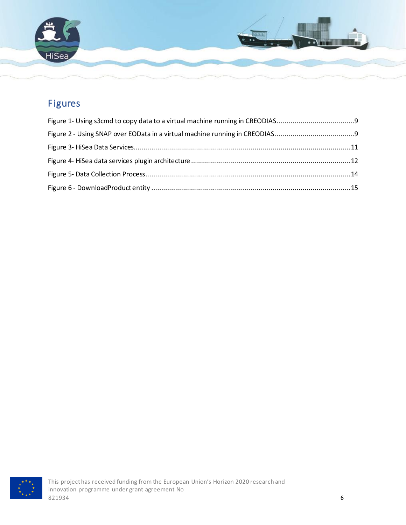![](_page_5_Picture_0.jpeg)

# Figures

![](_page_5_Picture_3.jpeg)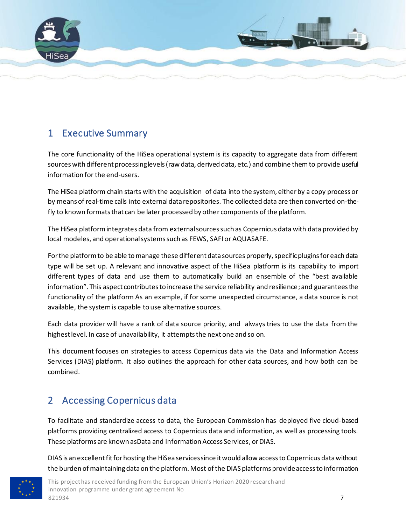![](_page_6_Picture_0.jpeg)

### <span id="page-6-0"></span>1 Executive Summary

The core functionality of the HiSea operational system is its capacity to aggregate data from different sources with different processing levels (raw data, derived data, etc.) and combine them to provide useful information for the end-users.

The HiSea platform chain starts with the acquisition of data into the system, either by a copy process or by means of real-time calls into external data repositories. The collected data are then converted on-thefly to known formats that can be later processed by other components of the platform.

The HiSea platform integrates data from external sources such as Copernicus data with data provided by local modeles, and operational systems such as FEWS, SAFI or AQUASAFE.

For the platform to be able to manage these different data sources properly, specific plugins for each data type will be set up. A relevant and innovative aspect of the HiSea platform is its capability to import different types of data and use them to automatically build an ensemble of the "best available information". This aspect contributes to increase the service reliability and resilience; and guarantees the functionality of the platform As an example, if for some unexpected circumstance, a data source is not available, the system is capable to use alternative sources.

Each data provider will have a rank of data source priority, and always tries to use the data from the highest level. In case of unavailability, it attempts the next one and so on.

This document focuses on strategies to access Copernicus data via the Data and Information Access Services (DIAS) platform. It also outlines the approach for other data sources, and how both can be combined.

## <span id="page-6-1"></span>2 Accessing Copernicus data

To facilitate and standardize access to data, the European Commission has deployed five cloud-based platforms providing centralized access to Copernicus data and information, as well as processing tools. These platforms are known asData and Information Access Services, or DIAS.

DIAS is an excellent fit for hosting the HiSea services since it would allow access to Copernicus data without the burden of maintaining data on the platform. Most of the DIAS platforms provide access to information

![](_page_6_Picture_11.jpeg)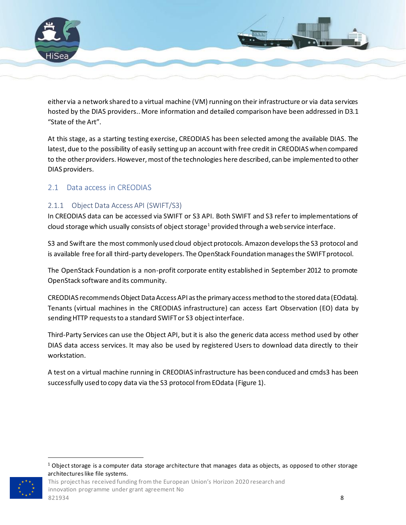![](_page_7_Picture_0.jpeg)

either via a network shared to a virtual machine (VM) running on their infrastructure or via data services hosted by the DIAS providers.. More information and detailed comparison have been addressed in D3.1 "State of the Art".

At this stage, as a starting testing exercise, CREODIAS has been selected among the available DIAS. The latest, due to the possibility of easily setting up an account with free credit in CREODIAS when compared to the other providers. However, most of the technologies here described, can be implemented to other DIAS providers.

#### <span id="page-7-0"></span>2.1 Data access in CREODIAS

#### <span id="page-7-1"></span>2.1.1 Object Data Access API (SWIFT/S3)

In CREODIAS data can be accessed via SWIFT or S3 API. Both SWIFT and S3 refer to implementations of cloud storage which usually consists of object storage<sup>1</sup> provided through a web service interface.

S3 and Swift are the most commonly used cloud object protocols. Amazon develops the S3 protocol and is available free for all third-party developers. The OpenStack Foundation manages the SWIFT protocol.

The OpenStack Foundation is a non-profit corporate entity established in September 2012 to promote OpenStack software and its community.

CREODIAS recommends Object Data Access API as the primary access method to the stored data (EOdata). Tenants (virtual machines in the CREODIAS infrastructure) can access Eart Observation (EO) data by sending HTTP requests to a standard SWIFT or S3 object interface.

Third-Party Services can use the Object API, but it is also the generic data access method used by other DIAS data access services. It may also be used by registered Users to download data directly to their workstation.

A test on a virtual machine running in CREODIAS infrastructure has been conduced and cmds3 has been successfully used to copy data via the S3 protocol from EOdata [\(Figure 1\)](#page-8-1).

This project has received funding from the European Union's Horizon 2020 research and innovation programme under grant agreement No  $821934$  8221934

 $1$  Object storage is a computer data storage architecture that manages data as objects, as opposed to other storage architectures like file systems.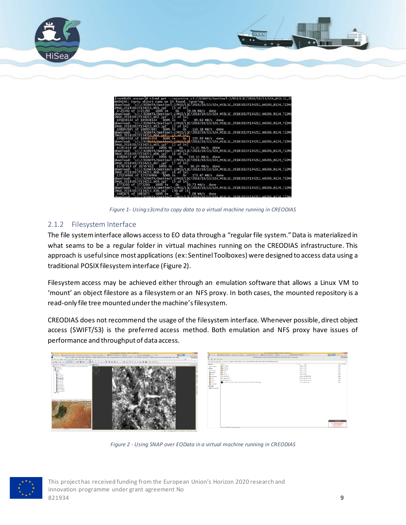![](_page_8_Picture_0.jpeg)

![](_page_8_Figure_1.jpeg)

*Figure 1- Using s3cmd to copy data to a virtual machine running in CREODIAS*

#### <span id="page-8-1"></span><span id="page-8-0"></span>2.1.2 Filesystem Interface

The file system interface allows access to EO data through a "regular file system." Data is materialized in what seams to be a regular folder in virtual machines running on the CREODIAS infrastructure. This approach is useful since most applications (ex: Sentinel Toolboxes) were designed to access data using a traditional POSIX filesysteminterface [\(Figure 2\)](#page-8-2).

Filesystem access may be achieved either through an emulation software that allows a Linux VM to 'mount' an object filestore as a filesystem or an NFS proxy. In both cases, the mounted repository is a read-only file tree mounted under the machine's filesystem.

CREODIAS does not recommend the usage of the filesystem interface. Whenever possible, direct object access (SWIFT/S3) is the preferred access method. Both emulation and NFS proxy have issues of performance and throughput of data access.

![](_page_8_Picture_7.jpeg)

*Figure 2 - Using SNAP over EOData in a virtual machine running in CREODIAS*

![](_page_8_Picture_9.jpeg)

<span id="page-8-2"></span>This project has received funding from the European Union's Horizon 2020 research and innovation programme under grant agreement No  $821934$  9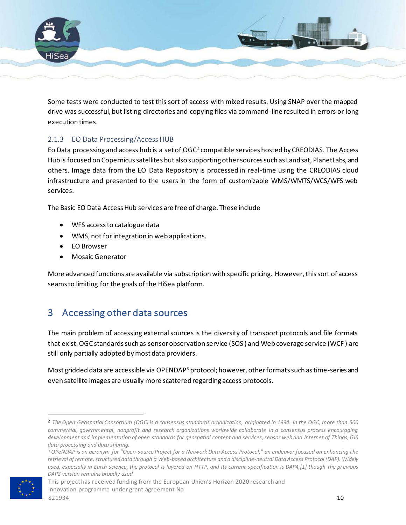![](_page_9_Picture_0.jpeg)

Some tests were conducted to test this sort of access with mixed results. Using SNAP over the mapped drive was successful, but listing directories and copying files via command-line resulted in errors or long execution times.

#### <span id="page-9-0"></span>2.1.3 EO Data Processing/Access HUB

Eo Data processing and access hub is a set of  $OGC^2$  compatible services hosted by CREODIAS. The Access Hub is focused on Copernicus satellites but also supporting other sources such as Landsat, PlanetLabs, and others. Image data from the EO Data Repository is processed in real-time using the CREODIAS cloud infrastructure and presented to the users in the form of customizable WMS/WMTS/WCS/WFS web services.

The Basic EO Data Access Hub services are free of charge. These include

- WFS access to catalogue data
- WMS, not for integration in web applications.
- EO Browser
- Mosaic Generator

More advanced functions are available via subscription with specific pricing. However, this sort of access seams to limiting for the goals of the HiSea platform.

### <span id="page-9-1"></span>3 Accessing other data sources

The main problem of accessing external sources is the diversity of transport protocols and file formats that exist. OGC standards such as sensor observation service (SOS ) and Web coverage service (WCF ) are still only partially adopted by most data providers.

Most gridded data are accessible via OPENDAP<sup>3</sup> protocol; however, other formats such as time-series and even satellite images are usually more scattered regarding access protocols.

This project has received funding from the European Union's Horizon 2020 research and innovation programme under grant agreement No  $821934$  and  $10$ 

<sup>2</sup> *The Open Geospatial Consortium (OGC) is a consensus standards organization, originated in 1994. In the OGC, more than 500 commercial, governmental, nonprofit and research organizations worldwide collaborate in a consensus process encouraging development and implementation of open standards for geospatial content and services, sensor web and Internet of Things, GIS data processing and data sharing.*

*<sup>3</sup> OPeNDAP is an acronym for "Open-source Project for a Network Data Access Protocol," an endeavor focused on enhancing the retrieval of remote, structured data through a Web-based architecture and a discipline-neutral Data Access Protocol (DAP). Widely used, especially in Earth science, the protocol is layered on HTTP, and its current specification is DAP4,[1] though the previous DAP2 version remains broadly used*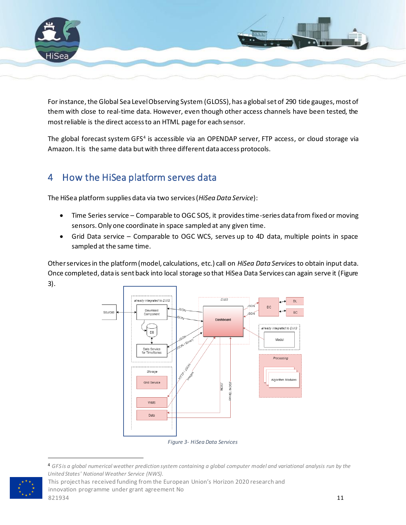![](_page_10_Picture_0.jpeg)

For instance, the Global Sea Level Observing System (GLOSS), has a global set of 290 tide gauges, most of them with close to real-time data. However, even though other access channels have been tested, the most reliable is the direct access to an HTML page for each sensor.

The global forecast system GFS<sup>4</sup> is accessible via an OPENDAP server, FTP access, or cloud storage via Amazon. It is the same data but with three different data access protocols.

## <span id="page-10-0"></span>4 How the HiSea platform serves data

The HiSea platform supplies data via two services (*HiSea Data Service*):

- Time Series service Comparable to OGC SOS, it provides time-series data from fixed or moving sensors. Only one coordinate in space sampled at any given time.
- Grid Data service Comparable to OGC WCS, serves up to 4D data, multiple points in space sampled at the same time.

Other services in the platform (model, calculations, etc.) call on *HiSea Data Service*s to obtain input data. Once completed, data is sent back into local storage so that HiSea Data Services can again serve it [\(Figure](#page-10-1)  [3\)](#page-10-1).

![](_page_10_Figure_8.jpeg)

<span id="page-10-1"></span><sup>4</sup> *GFS is a global numerical weather prediction system containing a global computer model and variational analysis run by the United States' National Weather Service (NWS).*

This project has received funding from the European Union's Horizon 2020 research and innovation programme under grant agreement No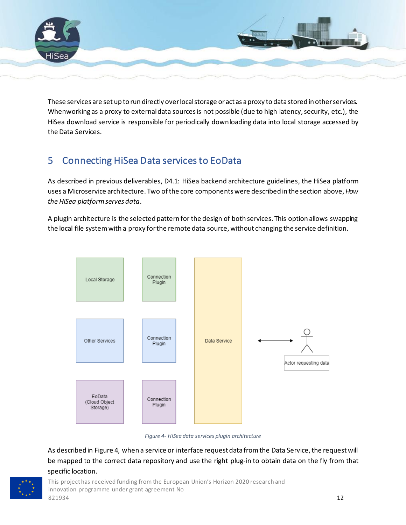![](_page_11_Picture_0.jpeg)

These services are set up to run directly over local storage or act as a proxy to data stored in other services. Whenworking as a proxy to external data sources is not possible (due to high latency, security, etc.), the HiSea download service is responsible for periodically downloading data into local storage accessed by the Data Services.

# <span id="page-11-0"></span>5 Connecting HiSea Data services to EoData

As described in previous deliverables, D4.1: HiSea backend architecture guidelines, the HiSea platform uses a Microservice architecture. Two of the core components were described in the section above, *[How](#page-10-0)  [the HiSea platform serves data](#page-10-0)*.

A plugin architecture is the selected pattern for the design of both services. This option allows swapping the local file system with a proxy for the remote data source, without changing the service definition.

![](_page_11_Figure_5.jpeg)

*Figure 4- HiSea data services plugin architecture*

<span id="page-11-1"></span>As described i[n Figure 4,](#page-11-1) when a service or interface request data from the Data Service, the request will be mapped to the correct data repository and use the right plug-in to obtain data on the fly from that specific location.

![](_page_11_Picture_8.jpeg)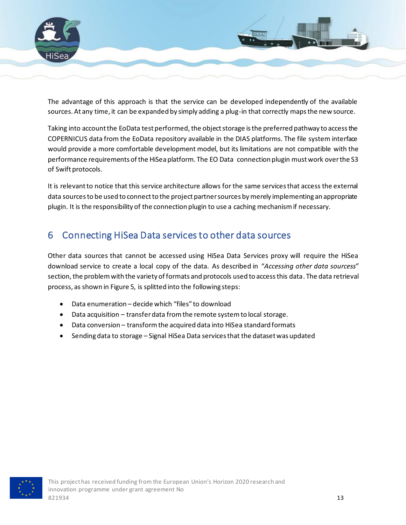![](_page_12_Picture_0.jpeg)

The advantage of this approach is that the service can be developed independently of the available sources. At any time, it can be expanded by simply adding a plug-in that correctly maps the new source.

Taking into account the EoData test performed, the object storage is the preferred pathway to access the COPERNICUS data from the EoData repository available in the DIAS platforms. The file system interface would provide a more comfortable development model, but its limitations are not compatible with the performance requirements of the HiSea platform. The EO Data connection plugin must work over the S3 of Swift protocols.

It is relevant to notice that this service architecture allows for the same services that access the external data sources to be used to connect to the project partner sources by merely implementing an appropriate plugin. It is the responsibility of the connection plugin to use a caching mechanism if necessary.

### <span id="page-12-0"></span>6 Connecting HiSea Data services to other data sources

Other data sources that cannot be accessed using HiSea Data Services proxy will require the HiSea download service to create a local copy of the data. As described in "*[Accessing other data sources](#page-9-1)s"* section, the problem with the variety of formats and protocols used to access this data. The data retrieval process, as shown in [Figure 5,](#page-13-0) is splitted into the following steps:

- Data enumeration decide which "files" to download
- Data acquisition transfer data from the remote system to local storage.
- Data conversion transform the acquired data into HiSea standard formats
- Sending data to storage Signal HiSea Data services that the dataset was updated

![](_page_12_Picture_10.jpeg)

This project has received funding from the European Union's Horizon 2020 research and innovation programme under grant agreement No  $821934$  and  $13$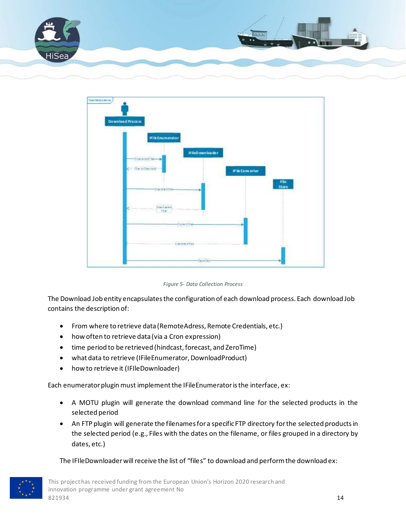![](_page_13_Picture_0.jpeg)

![](_page_13_Figure_1.jpeg)

*Figure 5- Data Collection Process*

<span id="page-13-0"></span>The Download Job entity encapsulates the configuration of each download process. Each download Job contains the description of:

- From where to retrieve data (RemoteAdress, Remote Credentials, etc.)
- how often to retrieve data (via a Cron expression)
- time period to be retrieved (hindcast, forecast, and ZeroTime)
- what data to retrieve (IFileEnumerator, DownloadProduct)
- how to retrieve it (IFIleDownloader)

Each enumerator plugin must implement the IFileEnumerator is the interface, ex:

- A MOTU plugin will generate the download command line for the selected products in the selected period
- An FTP plugin will generate the filenames for a specific FTP directory for the selected products in the selected period (e.g., Files with the dates on the filename, or files grouped in a directory by dates, etc.)

The IFIleDownloader will receive the list of "files" to download and perform the download ex:

![](_page_13_Picture_13.jpeg)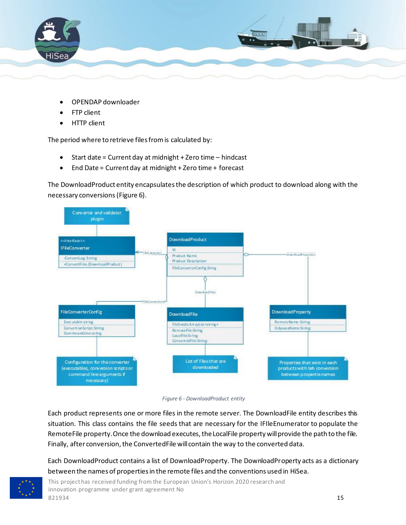![](_page_14_Picture_0.jpeg)

- OPENDAP downloader
- FTP client
- HTTP client

The period where to retrieve files from is calculated by:

- Start date = Current day at midnight + Zero time hindcast
- End Date = Current day at midnight + Zero time + forecast

The DownloadProduct entity encapsulates the description of which product to download along with the necessary conversions[\(Figure 6\)](#page-14-0).

![](_page_14_Figure_8.jpeg)

<span id="page-14-0"></span>*Figure 6 - DownloadProduct entity*

Each product represents one or more files in the remote server. The DownloadFile entity describes this situation. This class contains the file seeds that are necessary for the IFIleEnumerator to populate the RemoteFile property. Once the download executes, the LocalFile property will provide the path to the file. Finally, after conversion, the ConvertedFile will contain the way to the converted data.

Each DownloadProduct contains a list of DownloadProperty. The DownloadProperty acts as a dictionary between the names of properties in the remote files and the conventions used in HiSea.

This project has received funding from the European Union's Horizon 2020 research and innovation programme under grant agreement No  $821934$  and  $15$